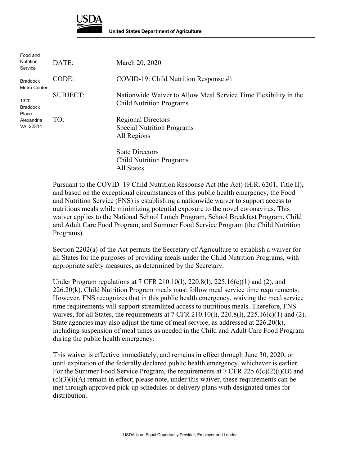

| Food and<br><b>Nutrition</b><br>Service                    | DATE:           | March 20, 2020                                                                                     |
|------------------------------------------------------------|-----------------|----------------------------------------------------------------------------------------------------|
| <b>Braddock</b><br>Metro Center                            | CODE:           | COVID-19: Child Nutrition Response $#1$                                                            |
| 1320<br><b>Braddock</b><br>Place<br>Alexandria<br>VA 22314 | <b>SUBJECT:</b> | Nationwide Waiver to Allow Meal Service Time Flexibility in the<br><b>Child Nutrition Programs</b> |
|                                                            | TO:             | <b>Regional Directors</b><br><b>Special Nutrition Programs</b><br>All Regions                      |
|                                                            |                 | <b>State Directors</b><br><b>Child Nutrition Programs</b><br>All States                            |

Pursuant to the COVID–19 Child Nutrition Response Act (the Act) (H.R. 6201, Title II), and based on the exceptional circumstances of this public health emergency, the Food and Nutrition Service (FNS) is establishing a nationwide waiver to support access to nutritious meals while minimizing potential exposure to the novel coronavirus. This waiver applies to the National School Lunch Program, School Breakfast Program, Child and Adult Care Food Program, and Summer Food Service Program (the Child Nutrition Programs).

Section 2202(a) of the Act permits the Secretary of Agriculture to establish a waiver for all States for the purposes of providing meals under the Child Nutrition Programs, with appropriate safety measures, as determined by the Secretary.

Under Program regulations at 7 CFR 210.10(1), 220.8(1), 225.16(c)(1) and (2), and 226.20(k), Child Nutrition Program meals must follow meal service time requirements. However, FNS recognizes that in this public health emergency, waiving the meal service time requirements will support streamlined access to nutritious meals. Therefore, FNS waives, for all States, the requirements at  $7 \text{ CFR } 210.10(1), 220.8(1), 225.16(c)(1)$  and (2). State agencies may also adjust the time of meal service, as addressed at  $226.20(k)$ , including suspension of meal times as needed in the Child and Adult Care Food Program during the public health emergency.

This waiver is effective immediately, and remains in effect through June 30, 2020, or until expiration of the federally declared public health emergency, whichever is earlier. For the Summer Food Service Program, the requirements at 7 CFR 225.6(c)(2)(i)(B) and  $(c)(3)(i)(A)$  remain in effect; please note, under this waiver, these requirements can be met through approved pick-up schedules or delivery plans with designated times for distribution.